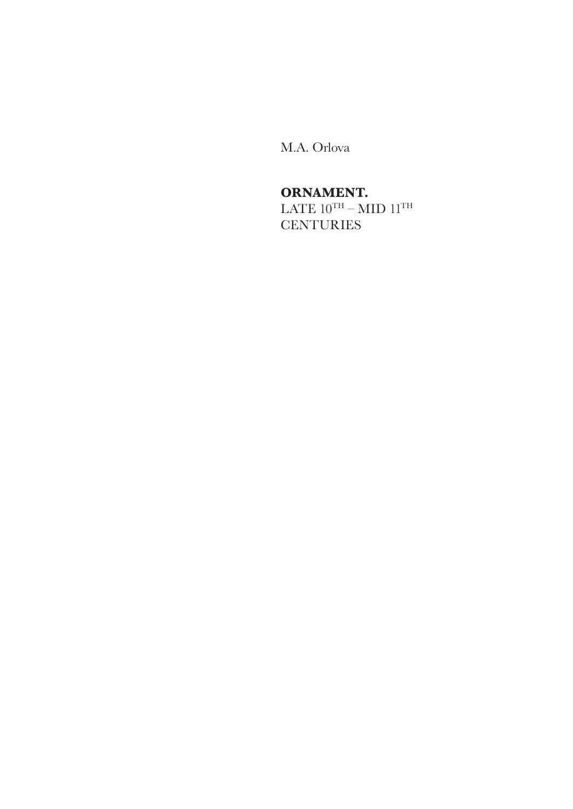M.A. Orlova

# **ORNAMENT.**

LATE  $10^{TH} - MID$   $11^{TH}$ **CENTURIES**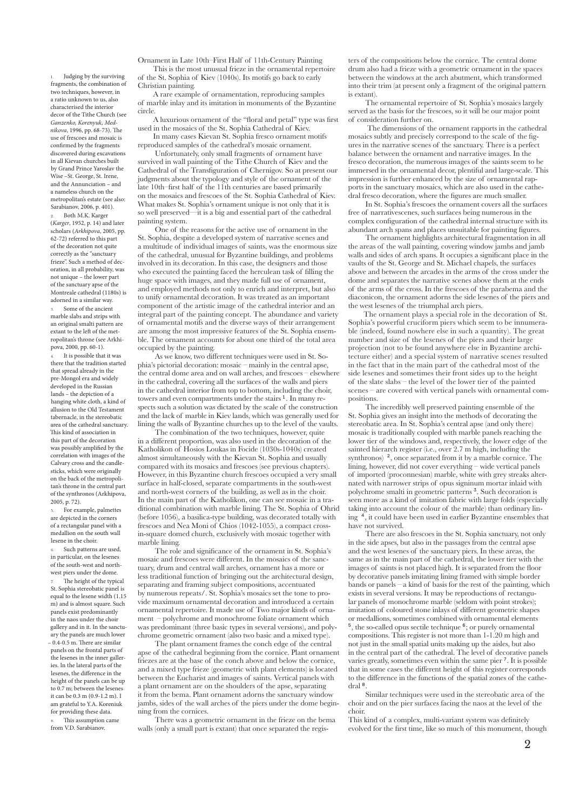1. Judging by the surviving fragments, the combination of two techniques, however, in a ratio unknown to us, also characterised the interior decor of the Tithe Church (see *Ganzenko, Korenyuk, Mednikova*, 1996, pp. 68-73). The use of frescoes and mosaic is confirmed by the fragments discovered during excavations in all Kievan churches built by Grand Prince Yaroslav the Wise –St. George, St. Irene, and the Annunciation – and a nameless church on the metropolitan's estate (see also: Sarabianov, 2006, p. 401).

Both M.K. Karger (*Karger*, 1952, p. 14) and later scholars (*Arkhipova*, 2005, pp. 62-72) referred to this part of the decoration not quite correctly as the "sanctuary frieze". Such a method of decoration, in all probability, was not unique – the lower part of the sanctuary apse of the Montreale cathedral (1180s) is adorned in a similar way. 3. Some of the ancient

marble slabs and strips with an original smalti pattern are extant to the left of the metropolitan's throne (see Arkhipova, 2000, pp. 60-1).

It is possible that it was there that the tradition started that spread already in the pre-Mongol era and widely developed in the Russian lands – the depiction of a hanging white cloth, a kind of allusion to the Old Testament tabernacle, in the stereobatic area of the cathedral sanctuary. This kind of association in this part of the decoration was possibly amplified by the correlation with images of the Calvary cross and the candlesticks, which were originally on the back of the metropolitan's throne in the central part of the synthronos (Arkhipova, 2005, p. 72).

5. For example, palmettes are depicted in the corners of a rectangular panel with a medallion on the south wall lesene in the choir.

Such patterns are used, in particular, on the lesenes of the south-west and northwest piers under the dome.

The height of the typical St. Sophia stereobatic panel is equal to the lesene width (1.15 m) and is almost square. Such panels exist predominantly in the naos under the choir gallery and in it. In the sanctuary the panels are much lower – 0.4-0.5 m. There are similar panels on the frontal parts of the lesenes in the inner galleries. In the lateral parts of the lesenes, the difference in the height of the panels can be up to 0.7 m; between the lesenes it can be 0.3 m (0.9-1.2 m). I am grateful to Y.A. Koreniuk for providing these data.

This assumption came from V.D. Sarabianov.

Ornament in Late 10th–First Half of 11th-Century Painting This is the most unusual frieze in the ornamental repertoire of the St. Sophia of Kiev (1040s). Its motifs go back to early Christian painting.

A rare example of ornamentation, reproducing samples of marble inlay and its imitation in monuments of the Byzantine circle.

A luxurious ornament of the "floral and petal" type was first used in the mosaics of the St. Sophia Cathedral of Kiev.

In many cases Kievan St. Sophia fresco ornament motifs reproduced samples of the cathedral's mosaic ornament.

 Unfortunately, only small fragments of ornament have survived in wall painting of the Tithe Church of Kiev and the Cathedral of the Transfiguration of Chernigov. So at present our judgments about the typology and style of the ornament of the late 10th–first half of the 11th centuries are based primarily on the mosaics and frescoes of the St. Sophia Cathedral of Kiev. What makes St. Sophia's ornament unique is not only that it is so well preserved—it is a big and essential part of the cathedral painting system.

 One of the reasons for the active use of ornament in the St. Sophia, despite a developed system of narrative scenes and a multitude of individual images of saints, was the enormous size of the cathedral, unusual for Byzantine buildings, and problems involved in its decoration. In this case, the designers and those who executed the painting faced the herculean task of filling the huge space with images, and they made full use of ornament, and employed methods not only to enrich and interpret, but also to unify ornamental decoration. It was treated as an important component of the artistic image of the cathedral interior and an integral part of the painting concept. The abundance and variety of ornamental motifs and the diverse ways of their arrangement are among the most impressive features of the St. Sophia ensemble. The ornament accounts for about one third of the total area occupied by the painting.

 As we know, two different techniques were used in St. Sophia's pictorial decoration: mosaic – mainly in the central apse, the central dome area and on wall arches, and frescoes – elsewhere in the cathedral, covering all the surfaces of the walls and piers in the cathedral interior from top to bottom, including the choir, towers and even compartments under the stairs<sup>1</sup>. In many respects such a solution was dictated by the scale of the construction and the lack of marble in Kiev lands, which was generally used for lining the walls of Byzantine churches up to the level of the vaults.

 The combination of the two techniques, however, quite in a different proportion, was also used in the decoration of the Katholikon of Hosios Loukas in Focide (1030s-1040s) created almost simultaneously with the Kievan St. Sophia and usually compared with its mosaics and frescoes (see previous chapters). However, in this Byzantine church frescoes occupied a very small surface in half-closed, separate compartments in the south-west and north-west corners of the building, as well as in the choir. In the main part of the Katholikon, one can see mosaic in a traditional combination with marble lining. The St. Sophia of Ohrid (before 1056), a basilica-type building, was decorated totally with frescoes and Nea Moni of Chios (1042-1055), a compact crossin-square domed church, exclusively with mosaic together with marble lining.

 The role and significance of the ornament in St. Sophia's mosaic and frescoes were different. In the mosaics of the sanctuary, drum and central wall arches, ornament has a more or less traditional function of bringing out the architectural design, separating and framing subject compositions, accentuated by numerous repeats/. St. Sophia's mosaics set the tone to provide maximum ornamental decoration and introduced a certain ornamental repertoire. It made use of Two major kinds of ornament – polychrome and monochrome foliate ornament which was predominant (three basic types in several versions), and polychrome geometric ornament (also two basic and a mixed type).

 The plant ornament frames the conch edge of the central apse of the cathedral beginning from the cornice. Plant ornament friezes are at the base of the conch above and below the cornice, and a mixed type frieze (geometric with plant elements) is located between the Eucharist and images of saints. Vertical panels with a plant ornament are on the shoulders of the apse, separating it from the bema. Plant ornament adorns the sanctuary window jambs, sides of the wall arches of the piers under the dome beginning from the cornices.

 There was a geometric ornament in the frieze on the bema walls (only a small part is extant) that once separated the registers of the compositions below the cornice. The central dome drum also had a frieze with a geometric ornament in the spaces between the windows at the arch abutment, which transformed into their trim (at present only a fragment of the original pattern is extant).

 The ornamental repertoire of St. Sophia's mosaics largely served as the basis for the frescoes, so it will be our major point of consideration further on.

 The dimensions of the ornament rapports in the cathedral mosaics subtly and precisely correspond to the scale of the figures in the narrative scenes of the sanctuary. There is a perfect balance between the ornament and narrative images. In the fresco decoration, the numerous images of the saints seem to be immersed in the ornamental decor, plentiful and large-scale. This impression is further enhanced by the size of ornamental rapports in the sanctuary mosaics, which are also used in the cathedral fresco decoration, where the figures are much smaller.

 In St. Sophia's frescoes the ornament covers all the surfaces free of narrativescenes, such surfaces being numerous in the complex configuration of the cathedral internal structure with its abundant arch spans and places unsuitable for painting figures.

 The ornament highlights architectural fragmentation in all the areas of the wall painting, covering window jambs and jamb walls and sides of arch spans. It occupies a significant place in the vaults of the St. George and St. Michael chapels, the surfaces above and between the arcades in the arms of the cross under the dome and separates the narrative scenes above them at the ends of the arms of the cross. In the frescoes of the parabema and the diaconicon, the ornament adorns the side lesenes of the piers and the west lesenes of the triumphal arch piers.

The ornament plays a special role in the decoration of St. Sophia's powerful cruciform piers which seem to be innumerable (indeed, found nowhere else in such a quantity). The great number and size of the lesenes of the piers and their large projection (not to be found anywhere else in Byzantine architecture either) and a special system of narrative scenes resulted in the fact that in the main part of the cathedral most of the side lesenes and sometimes their front sides up to the height of the slate slabs – the level of the lower tier of the painted scenes – are covered with vertical panels with ornamental compositions.

 The incredibly well preserved painting ensemble of the St. Sophia gives an insight into the methods of decorating the stereobatic area. In St. Sophia's central apse (and only there) mosaic is traditionally coupled with marble panels reaching the lower tier of the windows and, respectively, the lower edge of the sainted hierarch register (i.e., over 2.7 m high, including the synthronos)<sup>2</sup>, once separated from it by a marble cornice. The lining, however, did not cover everything – wide vertical panels of imported (proconnesian) marble, white with grey streaks alternated with narrower strips of opus signinum mortar inlaid with polychrome smalti in geometric patterns <sup>3</sup>. Such decoration is seen more as a kind of imitation fabric with large folds (especially taking into account the colour of the marble) than ordinary lining <sup>4</sup>, it could have been used in earlier Byzantine ensembles that have not survived.

 There are also frescoes in the St. Sophia sanctuary, not only in the side apses, but also in the passages from the central apse and the west lesenes of the sanctuary piers. In these areas, the same as in the main part of the cathedral, the lower tier with the images of saints is not placed high. It is separated from the floor by decorative panels imitating lining framed with simple border bands or panels – a kind of basis for the rest of the painting, which exists in several versions. It may be reproductions of rectangular panels of monochrome marble (seldom with point strokes); imitation of coloured stone inlays of different geometric shapes or medallions, sometimes combined with ornamental elements  $5$ , the so-called opus sectile technique  $6$ ; or purely ornamental compositions. This register is not more than 1-1.20 m high and not just in the small spatial units making up the aisles, but also in the central part of the cathedral. The level of decorative panels varies greatly, sometimes even within the same pier <sup>7</sup>. It is possible that in some cases the different height of this register corresponds to the difference in the functions of the spatial zones of the cathedral  $\frac{8}{3}$ 

 Similar techniques were used in the stereobatic area of the choir and on the pier surfaces facing the naos at the level of the choir.

This kind of a complex, multi-variant system was definitely evolved for the first time, like so much of this monument, though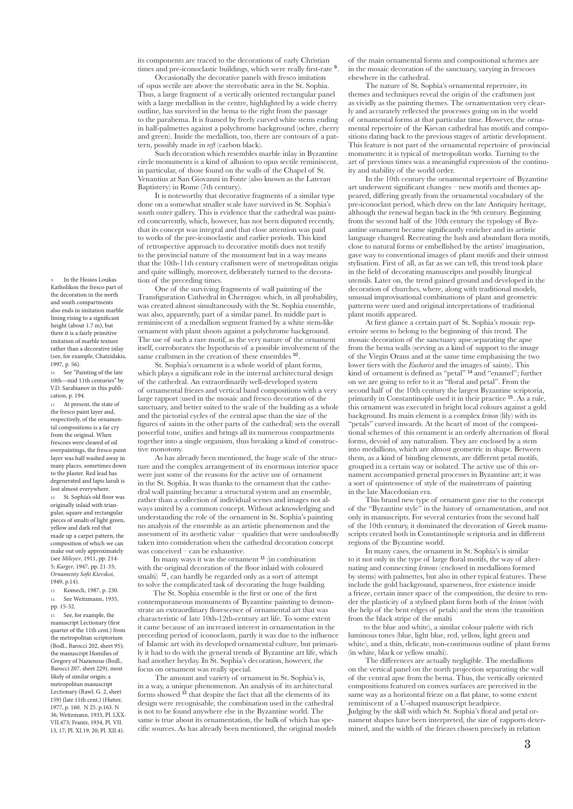its components are traced to the decorations of early Christian times and pre-iconoclastic buildings, which were really first-rate  $9$ .

 Occasionally the decorative panels with fresco imitation of opus sectile are above the stereobatic area in the St. Sophia. Thus, a large fragment of a vertically oriented rectangular panel with a large medallion in the centre, highlighted by a wide cherry outline, has survived in the bema to the right from the passage to the parabema. It is framed by freely curved white stems ending in half-palmettes against a polychrome background (ochre, cherry and green). Inside the medallion, too, there are contours of a pattern, possibly made in *reft* (carbon black).

 Such decoration which resembles marble inlay in Byzantine circle monuments is a kind of allusion to opus sectile reminiscent, in particular, of those found on the walls of the Chapel of St. Venantius at San Giovanni in Fonte (also known as the Lateran Baptistery) in Rome (7th century).

 It is noteworthy that decorative fragments of a similar type done on a somewhat smaller scale have survived in St. Sophia's south outer gallery. This is evidence that the cathedral was painted concurrently, which, however, has not been disputed recently, that its concept was integral and that close attention was paid to works of the pre-iconoclastic and earlier periods. This kind of retrospective approach to decorative motifs does not testify to the provincial nature of the monument but in a way means that the 10th-11th century craftsmen were of metropolitan origin and quite willingly, moreover, deliberately turned to the decoration of the preceding times.

 One of the surviving fragments of wall painting of the Transfiguration Cathedral in Chernigov. which, in all probability, was created almost simultaneously with the St. Sophia ensemble, was also, apparently, part of a similar panel. Its middle part is reminiscent of a medallion segment framed by a white stem-like ornament with plant shoots against a polychrome background. The use of such a rare motif, as the very nature of the ornament itself, corroborates the hypothesis of a possible involvement of the same craftsmen in the creation of these ensembles <sup>10</sup>

 St. Sophia's ornament is a whole world of plant forms, which plays a significant role in the internal architectural design of the cathedral. An extraordinarily well-developed system of ornamental friezes and vertical band compositions with a very large rapport (used in the mosaic and fresco decoration of the sanctuary, and better suited to the scale of the building as a whole and the pictorial cycles of the central apse than the size of the figures of saints in the other parts of the cathedral) sets the overall powerful tone, unifies and brings all its numerous compartments together into a single organism, thus breaking a kind of constructive monotony.

 As has already been mentioned, the huge scale of the structure and the complex arrangement of its enormous interior space were just some of the reasons for the active use of ornament in the St. Sophia. It was thanks to the ornament that the cathedral wall painting became a structural system and an ensemble, rather than a collection of individual scenes and images not always united by a common concept. Without acknowledging and understanding the role of the ornament in St. Sophia's painting no analysis of the ensemble as an artistic phenomenon and the assessment of its aesthetic value – qualities that were undoubtedly taken into consideration when the cathedral decoration concept was conceived – can be exhaustive.

In many ways it was the ornament <sup>11</sup> (in combination with the original decoration of the floor inlaid with coloured smalti)  $12$ , can hardly be regarded only as a sort of attempt to solve the complicated task of decorating the huge building.

The St. Sophia ensemble is the first or one of the first contemporaneous monuments of Byzantine painting to demonstrate an extraordinary florescence of ornamental art that was characteristic of late 10th-12th-century art life. To some extent it came because of an increased interest in ornamentation in the preceding period of iconoclasm, partly it was due to the influence of Islamic art with its developed ornamental culture, but primarily it had to do with the general trends of Byzantine art life, which had another heyday. In St. Sophia's decoration, however, the focus on ornament was really special.

 The amount and variety of ornament in St. Sophia's is, in a way, a unique phenomenon. An analysis of its architectural forms showed <sup>13</sup> that despite the fact that all the elements of its design were recognisable, the combination used in the cathedral is not to be found anywhere else in the Byzantine world. The same is true about its ornamentation, the bulk of which has specific sources. As has already been mentioned, the original models of the main ornamental forms and compositional schemes are in the mosaic decoration of the sanctuary, varying in frescoes elsewhere in the cathedral.

 The nature of St. Sophia's ornamental repertoire, its themes and techniques reveal the origin of the craftsmen just as vividly as the painting themes. The ornamentation very clearly and accurately reflected the processes going on in the world of ornamental forms at that particular time. However, the ornamental repertoire of the Kievan cathedral has motifs and compositions dating back to the previous stages of artistic development. This feature is not part of the ornamental repertoire of provincial monuments: it is typical of metropolitan works. Turning to the art of previous times was a meaningful expression of the continuity and stability of the world order.

 In the 10th century the ornamental repertoire of Byzantine art underwent significant changes – new motifs and themes appeared, differing greatly from the ornamental vocabulary of the pre-iconoclast period, which drew on the late Antiquity heritage, although the renewal began back in the 9th century. Beginning from the second half of the 10th century the typology of Byzantine ornament became significantly enricher and its artistic language changed. Recreating the lush and abundant flora motifs, close to natural forms or embellished by the artists' imagination, gave way to conventional images of plant motifs and their utmost stylisation. First of all, as far as we can tell, this trend took place in the field of decorating manuscripts and possibly liturgical utensils. Later on, the trend gained ground and developed in the decoration of churches, where, along with traditional models, unusual improvisational combinations of plant and geometric patterns were used and original interpretations of traditional plant motifs appeared.

 At first glance a certain part of St. Sophia's mosaic repertoire seems to belong to the beginning of this trend. The mosaic decoration of the sanctuary apse.separating the apse from the bema walls (serving as a kind of support to the image of the Virgin Orans and at the same time emphasising the two lower tiers with the *Eucharist* and the images of saints). This kind of ornament is defined as "petal" <sup>14</sup> and "enamel"; further on we are going to refer to it as "floral and petal". From the second half of the 10th century the largest Byzantine scriptoria, primarily in Constantinople used it in their practice <sup>15</sup>. As a rule, this ornament was executed in bright local colours against a gold background. Its main element is a complex *krinon* (lily) with its "petals" curved inwards. At the heart of most of the compositional schemes of this ornament is an orderly alternation of floral forms, devoid of any naturalism. They are enclosed by a stem into medallions, which are almost geometric in shape. Between them, as a kind of binding elements, are different petal motifs, grouped in a certain way or isolated. The active use of this ornament accompanied general processes in Byzantine art; it was a sort of quintessence of style of the mainstream of painting in the late Macedonian era.

 This brand new type of ornament gave rise to the concept of the "Byzantine style" in the history of ornamentation, and not only in manuscripts. For several centuries from the second half of the 10th century, it dominated the decoration of Greek manuscripts created both in Constantinople scriptoria and in different regions of the Byzantine world.

 In many cases, the ornament in St. Sophia's is similar to it not only in the type of large floral motifs, the way of alternating and connecting *krinons* (enclosed in medallions formed by stems) with palmettes, but also in other typical features. These include the gold background, sparseness, free existence inside a frieze, certain inner space of the composition, the desire to render the plasticity of a stylised plant form both of the *krinon* (with the help of the bent edges of petals) and the stem (the transition from the black stripe of the smalti

to the blue and white), a similar colour palette with rich luminous tones (blue, light blue, red, yellow, light green and white), and a thin, delicate, non-continuous outline of plant forms (in white, black or yellow smalti).

 The differences are actually negligible. The medallions on the vertical panel on the north projection separating the wall of the central apse from the bema. Thus, the vertically oriented compositions featured on convex surfaces are perceived in the same way as a horizontal frieze on a flat plane, to some extent reminiscent of a U-shaped manuscript headpiece.

Judging by the skill with which St. Sophia's floral and petal ornament shapes have been interpreted, the size of rapports determined, and the width of the friezes chosen precisely in relation

9. In the Hosios Loukas Katholikon the fresco part of the decoration in the north and south compartments also ends in imitation marble lining rising to a significant height (about 1.7 m), but there it is a fairly primitive imitation of marble texture rather than a decorative inlay (see, for example, Chatzidakis, 1997, p. 56).

10. See "Painting of the late 10th—mid 11th centuries" by V.D. Sarabianov in this publication, p. 194.

At present, the state of the fresco paint layer and, respectively, of the ornamental compositions is a far cry from the original. When frescoes were cleared of oil overpaintings, the fresco paint layer was half washed away in many places, sometimes down to the plaster. Red lead has degenerated and lapis lazuli is lost almost everywhere.

12. St. Sophia's old floor was originally inlaid with triangular, square and rectangular pieces of smalti of light green, yellow and dark red that made up a carpet pattern, the composition of which we can make out only approximately (see *Mileyev*, 1911, pp. 214- 5; *Karger*, 1947, pp. 21-35; *Ornamenty Sofii Kievskoi*, 1949, p.14).

13. Komech, 1987, p. 230. 14. See Weitzmann, 1935,

pp. 15-32. 15. See, for example, the

manuscript Lectionary (first quarter of the 11th cent.) from the metropolitan scriptorium (Bodl., Barocci 202, sheet 95); the manuscript Homilies of Gregory of Nazienzus (Bodl., Barocci 207, sheet 229), most likely of similar origin; a metropolitan manuscript Lectionary (Rawl. G. 2, sheet 159) (late 11th cent.) (Hutter, 1977, p. 160. N 25. p.163. N 36; Weitzmann, 1935, Pl. LXX-VII.473; Frantz, 1934, Pl. VII. 13, 17; Pl. XI.19, 20; Pl. XII.4).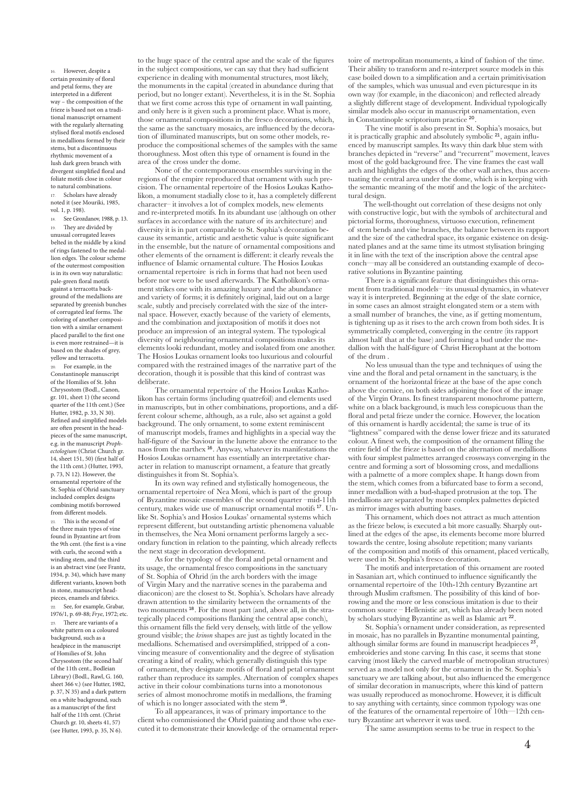16. However, despite a certain proximity of floral and petal forms, they are interpreted in a different way – the composition of the frieze is based not on a traditional manuscript ornament with the regularly alternating stylised floral motifs enclosed in medallions formed by their stems, but a discontinuous rhythmic movement of a lush dark green branch with divergent simplified floral and foliate motifs close in colour to natural combinations. 17. Scholars have already noted it (see Mouriki, 1985,

vol. 1, p. 198). 18. See Grozdanov, 1988, p. 13. 19. They are divided by unusual corrugated leaves belted in the middle by a kind of rings fastened to the medallion edges. The colour scheme of the outermost composition is in its own way naturalistic: pale-green floral motifs against a terracotta background of the medallions are separated by greenish bunches of corrugated leaf forms. The coloring of another composition with a similar ornament placed parallel to the first one is even more restrained—it is based on the shades of grey, yellow and terracotta.

For example, in the Constantinople manuscript of the Homilies of St. John Chrysostom (Bodl., Canon, gr. 101, sheet 1) (the second quarter of the 11th cent.) (See Hutter, 1982, p. 33, N 30). Refined and simplified models are often present in the headpieces of the same manuscript, e.g. in the manuscript *Prophectologium* (Christ Church gr. 14, sheet 151, 50) (first half of the 11th cent.) (Hutter, 1993, p. 73, N 12). However, the ornamental repertoire of the St. Sophia of Ohrid sanctuary included complex designs combining motifs borrowed from different models.

21. This is the second of the three main types of vine found in Byzantine art from the 9th cent. (the first is a vine with curls, the second with a winding stem, and the third is an abstract vine (see Frantz, 1934, p. 34), which have many different variants, known both in stone, manuscript headpieces, enamels and fabrics. See, for example, Grabar, 1976/1, p. 69-88; *Frye*, 1972; etc. 23. There are variants of a white pattern on a coloured background, such as a headpiece in the manuscript of Homilies of St. John Chrysostom (the second half of the 11th cent., Bodleian Library) (Bodl., Rawl, G. 160, sheet 366 v.) (see Hutter, 1982, p. 37, N 35) and a dark pattern on a white background, such as a manuscript of the first half of the 11th cent. (Christ Church gr. 10, sheets 41, 57) (see Hutter, 1993, p. 35, N 6).

to the huge space of the central apse and the scale of the figures in the subject compositions, we can say that they had sufficient experience in dealing with monumental structures, most likely, the monuments in the capital (created in abundance during that period, but no longer extant). Nevertheless, it is in the St. Sophia that we first come across this type of ornament in wall painting, and only here is it given such a prominent place. What is more, those ornamental compositions in the fresco decorations, which, the same as the sanctuary mosaics, are influenced by the decoration of illuminated manuscripts, but on some other models, reproduce the compositional schemes of the samples with the same thoroughness. Most often this type of ornament is found in the area of the cross under the dome.

 None of the contemporaneous ensembles surviving in the regions of the empire reproduced that ornament with such precision. The ornamental repertoire of the Hosios Loukas Katholikon, a monument stadially close to it, has a completely different character– it involves a lot of complex models, new elements and re-interpreted motifs. In its abundant use (although on other surfaces in accordance with the nature of its architecture) and diversity it is in part comparable to St. Sophia's decoration because its semantic, artistic and aesthetic value is quite significant in the ensemble, but the nature of ornamental compositions and other elements of the ornament is different: it clearly reveals the influence of Islamic ornamental culture. The Hosios Loukas ornamental repertoire is rich in forms that had not been used before nor were to be used afterwards. The Katholikon's ornament strikes one with its amazing luxury and the abundance and variety of forms; it is definitely original, laid out on a large scale, subtly and precisely correlated with the size of the internal space. However, exactly because of the variety of elements, and the combination and juxtaposition of motifs it does not produce an impression of an integral system. The typological diversity of neighbouring ornamental compositions makes its elements looki redundant, motley and isolated from one another. The Hosios Loukas ornament looks too luxurious and colourful compared with the restrained images of the narrative part of the decoration, though it is possible that this kind of contrast was deliberate.

 The ornamental repertoire of the Hosios Loukas Katholikon has certain forms (including quatrefoil) and elements used in manuscripts, but in other combinations, proportions, and a different colour scheme, although, as a rule, also set against a gold background. The only ornament, to some extent reminiscent of manuscript models, frames and highlights in a special way the half-figure of the Saviour in the lunette above the entrance to the naos from the narthex <sup>16</sup>. Anyway, whatever its manifestations the Hosios Loukas ornament has essentially an interpretative character in relation to manuscript ornament, a feature that greatly distinguishes it from St. Sophia's.

 In its own way refined and stylistically homogeneous, the ornamental repertoire of Nea Moni, which is part of the group of Byzantine mosaic ensembles of the second quarter –mid-11th century, makes wide use of manuscript ornamental motifs 17. Unlike St. Sophia's and Hosios Loukas' ornamental systems which represent different, but outstanding artistic phenomena valuable in themselves, the Nea Moni ornament performs largely a secondary function in relation to the painting, which already reflects the next stage in decoration development.

 As for the typology of the floral and petal ornament and its usage, the ornamental fresco compositions in the sanctuary of St. Sophia of Ohrid (in the arch borders with the image of Virgin Mary and the narrative scenes in the parabema and diaconicon) are the closest to St. Sophia's. Scholars have already drawn attention to the similarity between the ornaments of the two monuments 18. For the most part (and, above all, in the strategically placed compositions flanking the central apse conch), this ornament fills the field very densely, with little of the yellow ground visible; the *krinon* shapes are just as tightly located in the medallions. Schematised and oversimplified, stripped of a convincing measure of conventionality and the degree of stylisation creating a kind of reality, which generally distinguish this type of ornament, they designate motifs of floral and petal ornament rather than reproduce its samples. Alternation of complex shapes active in their colour combinations turns into a monotonous series of almost monochrome motifs in medallions, the framing of which is no longer associated with the stem <sup>19</sup>.

 To all appearances, it was of primary importance to the client who commissioned the Ohrid painting and those who executed it to demonstrate their knowledge of the ornamental reper-

toire of metropolitan monuments, a kind of fashion of the time. Their ability to transform and re-interpret source models in this case boiled down to a simplification and a certain primitivisation of the samples, which was unusual and even picturesque in its own way (for example, in the diaconicon) and reflected already a slightly different stage of development. Individual typologically similar models also occur in manuscript ornamentation, even in Constantinople scriptorium practice <sup>20</sup>.

 The vine motif is also present in St. Sophia's mosaics, but it is practically graphic and absolutely symbolic 21, again influenced by manuscript samples. Its wavy thin dark blue stem with branches depicted in "reverse" and "recurrent" movement, leaves most of the gold background free. The vine frames the east wall arch and highlights the edges of the other wall arches, thus accentuating the central area under the dome, which is in keeping with the semantic meaning of the motif and the logic of the architectural design.

The well-thought out correlation of these designs not only with constructive logic, but with the symbols of architectural and pictorial forms, thoroughness, virtuoso execution, refinement of stem bends and vine branches, the balance between its rapport and the size of the cathedral space, its organic existence on designated planes and at the same time its utmost stylisation bringing it in line with the text of the inscription above the central apse conch—may all be considered an outstanding example of decorative solutions in Byzantine painting.

 There is a significant feature that distinguishes this ornament from traditional models—its unusual dynamics, in whatever way it is interpreted. Beginning at the edge of the slate cornice, in some cases an almost straight elongated stem or a stem with a small number of branches, the vine, as if getting momentum, is tightening up as it rises to the arch crown from both sides. It is symmetrically completed, converging in the centre (its rapport almost half that at the base) and forming a bud under the medallion with the half-figure of Christ Hierophant at the bottom of the drum .

 No less unusual than the type and techniques of using the vine and the floral and petal ornament in the sanctuary, is the ornament of the horizontal frieze at the base of the apse conch above the cornice, on both sides adjoining the foot of the image of the Virgin Orans. Its finest transparent monochrome pattern, white on a black background, is much less conspicuous than the floral and petal frieze under the cornice. However, the location of this ornament is hardly accidental; the same is true of its "lightness" compared with the dense lower frieze and its saturated colour. A finest web, the composition of the ornament filling the entire field of the frieze is based on the alternation of medallions with four simplest palmettes arranged crossways converging in the centre and forming a sort of blossoming cross, and medallions with a palmette of a more complex shape. It hangs down from the stem, which comes from a bifurcated base to form a second, inner medallion with a bud-shaped protrusion at the top. The medallions are separated by more complex palmettes depicted as mirror images with abutting bases.

 This ornament, which does not attract as much attention as the frieze below, is executed a bit more casually. Sharply outlined at the edges of the apse, its elements become more blurred towards the centre, losing absolute repetition; many variants of the composition and motifs of this ornament, placed vertically, were used in St. Sophia's fresco decoration.

 The motifs and interpretation of this ornament are rooted in Sasanian art, which continued to influence significantly the ornamental repertoire of the 10th-12th century Byzantine art through Muslim craftsmen. The possibility of this kind of borrowing and the more or less conscious imitation is due to their common source – Hellenistic art, which has already been noted by scholars studying Byzantine as well as Islamic art <sup>22</sup>.

 St. Sophia's ornament under consideration, as represented in mosaic, has no parallels in Byzantine monumental painting, although similar forms are found in manuscript headpieces<sup>23</sup> embroideries and stone carving. In this case, it seems that stone carving (most likely the carved marble of metropolitan structures) served as a model not only for the ornament in the St. Sophia's sanctuary we are talking about, but also influenced the emergence of similar decoration in manuscripts, where this kind of pattern was usually reproduced as monochrome. However, it is difficult to say anything with certainty, since common typology was one of the features of the ornamental repertoire of 10th—12th century Byzantine art wherever it was used.

The same assumption seems to be true in respect to the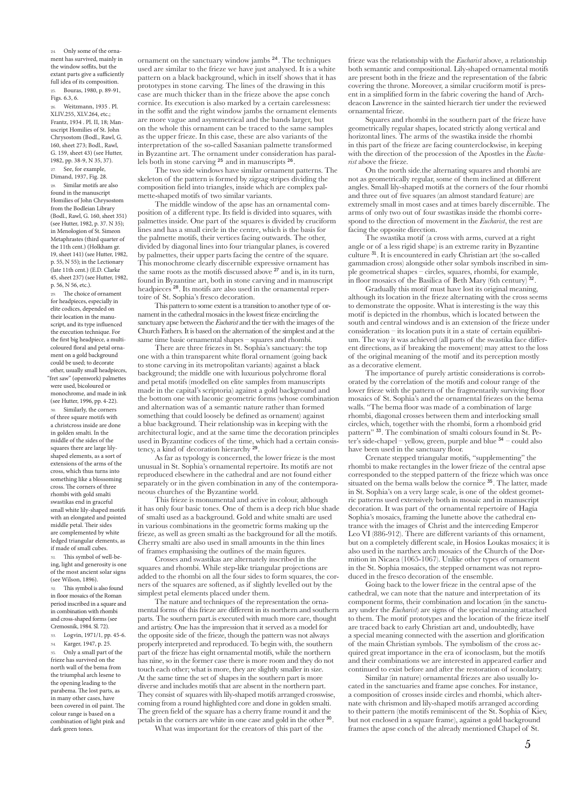24. Only some of the ornament has survived, mainly in the window soffits, but the extant parts give a sufficiently full idea of its composition. 25. Bouras, 1980, p. 89-91,

Figs. 6.3, 6. 26. Weitzmann, 1935 . Pl.  $XLIV.255, XIV.264, etc.$ Frantz, 1934 . Pl. II, 18; Manuscript Homilies of St. John Chrysostom (Bodl., Rawl, G. 160, sheet 273; Bodl., Rawl. G. 159, sheet 43) (see Hutter, 1982, pp. 38-9, N 35, 37). See, for example,

Dimand, 1937, Fig. 28. 28. Similar motifs are also found in the manuscript Homilies of John Chrysostom from the Bodleian Library (Bodl., Rawl, G. 160, sheet 351) (see Hutter, 1982, p. 37. N 35); in Menologion of St. Simeon Metaphrastes (third quarter of the 11th cent.) (Holkham gr. 19, sheet 141) (see Hutter, 1982, p. 55, N 55); in the Lectionary (late 11th cent.) (E.D. Clarke 45, sheet 237) (see Hutter, 1982, p. 56, N 56, etc.).

The choice of ornament for headpieces, especially in elite codices, depended on their location in the manuscript, and its type influenced the execution technique. For the first big headpiece, a multicoloured floral and petal ornament on a gold background could be used; to decorate other, usually small headpieces, "fret saw" (openwork) palmettes were used, bicoloured or monochrome, and made in ink (see Hutter, 1996, pp. 4-22). Similarly, the corners of three square motifs with a christcross inside are done in golden smalti. In the middle of the sides of the squares there are large lilyshaped elements, as a sort of extensions of the arms of the cross, which thus turns into something like a blossoming cross. The corners of three rhombi with gold smalti swastikas end in graceful small white lily-shaped motifs with an elongated and pointed middle petal. Their sides are complemented by white ledged triangular elements, as if made of small cubes.

This symbol of well-being, light and generosity is one  $\sigma$  of the most ancient solar signs (see Wilson, 1896).

32. This symbol is also found in floor mosaics of the Roman period inscribed in a square and in combination with rhombi and cross-shaped forms (see Cremosnik, 1984. Sl. 72).

33. Logvin, 1971/1, pp. 45-6.

34. Karger, 1947, p. 25. Only a small part of the frieze has survived on the north wall of the bema from the triumphal arch lesene to the opening leading to the parabema. The lost parts, as

in many other cases, have been covered in oil paint. The colour range is based on a combination of light pink and dark green tones.

ornament on the sanctuary window jambs <sup>24</sup>. The techniques used are similar to the frieze we have just analysed. It is a white pattern on a black background, which in itself shows that it has prototypes in stone carving. The lines of the drawing in this case are much thicker than in the frieze above the apse conch cornice. Its execution is also marked by a certain carelessness: in the soffit and the right window jambs the ornament elements are more vague and asymmetrical and the bands larger, but on the whole this ornament can be traced to the same samples as the upper frieze. In this case, these are also variants of the interpretation of the so-called Sasanian palmette transformed in Byzantine art. The ornament under consideration has parallels both in stone carving <sup>25</sup> and in manuscripts <sup>26</sup>.

 The two side windows have similar ornament patterns. The skeleton of the pattern is formed by zigzag stripes dividing the composition field into triangles, inside which are complex palmette-shaped motifs of two similar variants.

 The middle window of the apse has an ornamental composition of a different type. Its field is divided into squares, with palmettes inside. One part of the squares is divided by cruciform lines and has a small circle in the centre, which is the basis for the palmette motifs, their vertices facing outwards. The other, divided by diagonal lines into four triangular planes, is covered by palmettes, their upper parts facing the centre of the square. This monochrome clearly discernible expressive ornament has the same roots as the motifs discussed above <sup>27</sup> and is, in its turn, found in Byzantine art, both in stone carving and in manuscript headpieces 28. Its motifs are also used in the ornamental repertoire of St. Sophia's fresco decoration.

 This pattern to some extent is a transition to another type of ornament in the cathedral mosaics in the lowest frieze encircling the sanctuary apse between the *Eucharist* and the tier with the images of the Church Fathers. It is based on the alternation of the simplest and at the same time basic ornamental shapes – squares and rhombi.

 There are three friezes in St. Sophia's sanctuary: the top one with a thin transparent white floral ornament (going back to stone carving in its metropolitan variants) against a black background; the middle one with luxurious polychrome floral and petal motifs (modelled on elite samples from manuscripts made in the capital's scriptoria) against a gold background and the bottom one with laconic geometric forms (whose combination and alternation was of a semantic nature rather than formed something that could loosely be defined as ornament) against a blue background. Their relationship was in keeping with the architectural logic, and at the same time the decoration principles used in Byzantine codices of the time, which had a certain consistency, a kind of decoration hierarchy <sup>29</sup>.

 As far as typology is concerned, the lower frieze is the most unusual in St. Sophia's ornamental repertoire. Its motifs are not reproduced elsewhere in the cathedral and are not found either separately or in the given combination in any of the contemporaneous churches of the Byzantine world.

 This frieze is monumental and active in colour, although it has only four basic tones. One of them is a deep rich blue shade of smalti used as a background. Gold and white smalti are used in various combinations in the geometric forms making up the frieze, as well as green smalti as the background for all the motifs. Cherry smalti are also used in small amounts in the thin lines of frames emphasising the outlines of the main figures.

 Crosses and swastikas are alternately inscribed in the squares and rhombi. While step-like triangular projections are added to the rhombi on all the four sides to form squares, the corners of the squares are softened, as if slightly levelled out by the simplest petal elements placed under them.

 The nature and techniques of the representation the ornamental forms of this frieze are different in its northern and southern parts. The southern part.is executed with much more care, thought and artistry. One has the impression that it served as a model for the opposite side of the frieze, though the pattern was not always properly interpreted and reproduced. To begin with, the southern part of the frieze has eight ornamental motifs, while the northern has nine, so in the former case there is more room and they do not touch each other; what is more, they are slightly smaller in size. At the same time the set of shapes in the southern part is more diverse and includes motifs that are absent in the northern part. They consist of squares with lily-shaped motifs arranged crosswise, coming from a round highlighted core and done in golden smalti. The green field of the square has a cherry frame round it and the petals in the corners are white in one case and gold in the other <sup>30</sup>. What was important for the creators of this part of the

frieze was the relationship with the *Eucharist* above, a relationship both semantic and compositional. Lily-shaped ornamental motifs are present both in the frieze and the representation of the fabric covering the throne. Moreover, a similar cruciform motif is present in a simplified form in the fabric covering the hand of Archdeacon Lawrence in the sainted hierarch tier under the reviewed ornamental frieze.

 Squares and rhombi in the southern part of the frieze have geometrically regular shapes, located strictly along vertical and horizontal lines. The arms of the swastika inside the rhombi in this part of the frieze are facing counterclockwise, in keeping with the direction of the procession of the Apostles in the *Eucharist* above the frieze.

 On the north side.the alternating squares and rhombi are not as geometrically regular, some of them inclined at different angles. Small lily-shaped motifs at the corners of the four rhombi and three out of five squares (an almost standard feature) are extremely small in most cases and at times barely discernible. The arms of only two out of four swastikas inside the rhombi correspond to the direction of movement in the *Eucharist*, the rest are facing the opposite direction.

 The swastika motif (a cross with arms, curved at a right angle or of a less rigid shape) is an extreme rarity in Byzantine culture <sup>31</sup>. It is encountered in early Christian art (the so-called gammadion cross) alongside other solar symbols inscribed in simple geometrical shapes – circles, squares, rhombi, for example, in floor mosaics of the Basilica of Beth Mary (6th century)

 Gradually this motif must have lost its original meaning, although its location in the frieze alternating with the cross seems to demonstrate the opposite. What is interesting is the way this motif is depicted in the rhombus, which is located between the south and central windows and is an extension of the frieze under consideration – its location puts it in a state of certain equilibrium. The way it was achieved (all parts of the swastika face different directions, as if breaking the movement) may attest to the loss of the original meaning of the motif and its perception mostly as a decorative element.

 The importance of purely artistic considerations is corroborated by the correlation of the motifs and colour range of the lower frieze with the pattern of the fragmentarily surviving floor mosaics of St. Sophia's and the ornamental friezes on the bema walls. "The bema floor was made of a combination of large rhombi, diagonal crosses between them and interlocking small circles, which, together with the rhombi, form a rhomboid grid pattern" 33. The combination of smalti colours found in St. Peter's side-chapel – yellow, green, purple and blue <sup>34</sup> – could also have been used in the sanctuary floor.

 Crenate stepped triangular motifs, "supplementing" the rhombi to make rectangles in the lower frieze of the central apse corresponded to the stepped pattern of the frieze which was once situated on the bema walls below the cornice  $35$ . The latter, made in St. Sophia's on a very large scale, is one of the oldest geometric patterns used extensively both in mosaic and in manuscript decoration. It was part of the ornamental repertoire of Hagia Sophia's mosaics, framing the lunette above the cathedral entrance with the images of Christ and the interceding Emperor Leo VI (886-912). There are different variants of this ornament, but on a completely different scale, in Hosios Loukas mosaics; it is also used in the narthex arch mosaics of the Church of the Dormition in Nicaea (1065-1067). Unlike other types of ornament in the St. Sophia mosaics, the stepped ornament was not reproduced in the fresco decoration of the ensemble.

 Going back to the lower frieze in the central apse of the cathedral, we can note that the nature and interpretation of its component forms, their combination and location (in the sanctuary under the *Eucharist*) are signs of the special meaning attached to them. The motif prototypes and the location of the frieze itself are traced back to early Christian art and, undoubtedly, have a special meaning connected with the assertion and glorification of the main Christian symbols. The symbolism of the cross acquired great importance in the era of iconoclasm, but the motifs and their combinations we are interested in appeared earlier and continued to exist before and after the restoration of iconolatry.

 Similar (in nature) ornamental friezes are also usually located in the sanctuaries and frame apse conches. For instance, a composition of crosses inside circles and rhombi, which alternate with chrismon and lily-shaped motifs arranged according to their pattern (the motifs reminiscent of the St. Sophia of Kiev, but not enclosed in a square frame), against a gold background frames the apse conch of the already mentioned Chapel of St.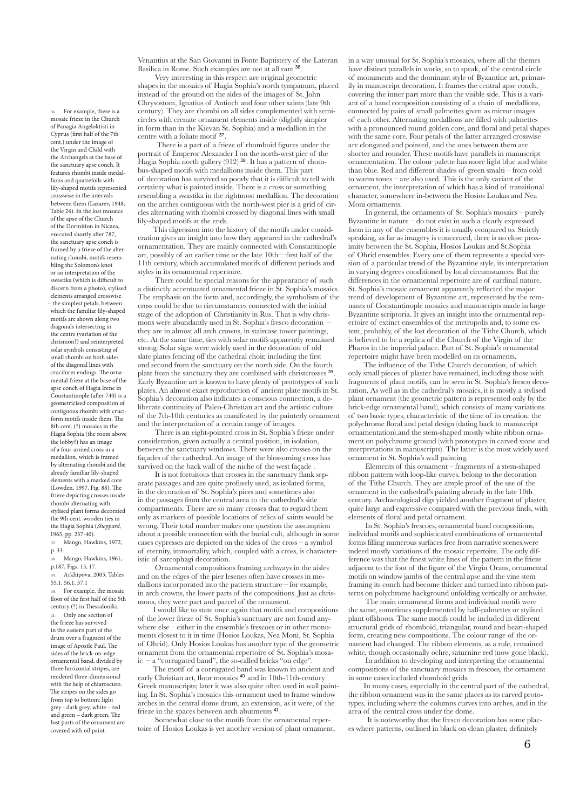Venantius at the San Giovanni in Fonte Baptistery of the Lateran Basilica in Rome. Such examples are not at all rare <sup>36</sup>.

 Very interesting in this respect are original geometric shapes in the mosaics of Hagia Sophia's north tympanum, placed instead of the ground on the sides of the images of St. John Chrysostom, Ignatius of Antioch and four other saints (late 9th century). They are rhombi on all sides complemented with semicircles with crenate ornament elements inside (slightly simpler in form than in the Kievan St. Sophia) and a medallion in the centre with a foliate motif <sup>37</sup>.

 There is a part of a frieze of rhomboid figures under the portrait of Emperor Alexander I on the north-west pier of the Hagia Sophia north gallery (912)<sup>38</sup>. It has a pattern of rhombus-shaped motifs with medallions inside them. This part of decoration has survived so poorly that it is difficult to tell with certainty what is painted inside. There is a cross or something resembling a swastika in the rightmost medallion. The decoration on the arches contiguous with the north-west pier is a grid of circles alternating with rhombi crossed by diagonal lines with small lily-shaped motifs at the ends.

This digression into the history of the motifs under consideration gives an insight into how they appeared in the cathedral's ornamentation. They are mainly connected with Constantinople art, possibly of an earlier time or the late 10th—first half of the 11th century, which accumulated motifs of different periods and styles in its ornamental repertoire.

 There could be special reasons for the appearance of such a distinctly accentuated ornamental frieze in St. Sophia's mosaics. The emphasis on the form and, accordingly, the symbolism of the cross could be due to circumstances connected with the initial stage of the adoption of Christianity in Rus. That is why chrismons were abundantly used in St. Sophia's fresco decoration – they are in almost all arch crowns, in staircase tower paintings, etc. At the same time, ties with solar motifs apparently remained strong. Solar signs were widely used in the decoration of old slate plates fencing off the cathedral choir, including the first and second from the sanctuary on the north side. On the fourth plate from the sanctuary they are combined with christcrosses <sup>39</sup>. Early Byzantine art is known to have plenty of prototypes of such plates. An almost exact reproduction of ancient plate motifs in St. Sophia's decoration also indicates a conscious connection, a deliberate continuity of Paleo-Christian art and the artistic culture of the 7th-10th centuries as manifested by the painterly ornament and the interpretation of a certain range of images.

 There is an eight-pointed cross in St. Sophia's frieze under consideration, given actually a central position, in isolation, between the sanctuary windows. There were also crosses on the façades of the cathedral. An image of the blossoming cross has survived on the back wall of the niche of the west façade .

 It is not fortuitous that crosses in the sanctuary flank separate passages and are quite profusely used, as isolated forms, in the decoration of St. Sophia's piers and sometimes also in the passages from the central area to the cathedral's side compartments. There are so many crosses that to regard them only as markers of possible locations of relics of saints would be wrong. Their total number makes one question the assumption about a possible connection with the burial cult, although in some cases cypresses are depicted on the sides of the cross  $-\overline{a}$  symbol of eternity, immortality, which, coupled with a cross, is characteristic of sarcophagi decoration.

 Ornamental compositions framing archways in the aisles and on the edges of the pier lesenes often have crosses in medallions incorporated into the pattern structure – for example, in arch crowns, the lower parts of the compositions. Just as chrismons, they were part and parcel of the ornament.

I would like to state once again that motifs and compositions of the lower frieze of St. Sophia's sanctuary are not found anywhere else – either in the ensemble's frescoes or in other monuments closest to it in time (Hosios Loukas, Nea Moni, St. Sophia of Ohrid). Only Hosios Loukas has another type of the geometric ornament from the ornamental repertoire of St. Sophia's mosaic – a "corrugated band", the so-called bricks "on edge".

The motif of a corrugated band was known in ancient and early Christian art, floor mosaics <sup>40</sup> and in 10th-11th-century Greek manuscripts; later it was also quite often used in wall painting. In St. Sophia's mosaics this ornament used to frame window arches in the central dome drum, an extension, as it were, of the frieze in the spaces between arch abutments <sup>41</sup>.

 Somewhat close to the motifs from the ornamental repertoire of Hosios Loukas is yet another version of plant ornament, in a way unusual for St. Sophia's mosaics, where all the themes have distinct parallels in works, so to speak, of the central circle of monuments and the dominant style of Byzantine art, primarily in manuscript decoration. It frames the central apse conch, covering the inner part more than the visible side. This is a variant of a band composition consisting of a chain of medallions, connected by pairs of small palmettes given as mirror images of each other. Alternating medallions are filled with palmettes with a pronounced round golden core, and floral and petal shapes with the same core. Four petals of the latter arranged crosswise are elongated and pointed, and the ones between them are shorter and rounder. These motifs have parallels in manuscript ornamentation. The colour palette has more light blue and white than blue. Red and different shades of green smalti – from cold to warm tones – are also used. This is the only variant of the ornament, the interpretation of which has a kind of transitional character, somewhere in-between the Hosios Loukas and Nea Moni ornaments.

 In general, the ornaments of St. Sophia's mosaics – purely Byzantine in nature – do not exist in such a clearly expressed form in any of the ensembles it is usually compared to. Strictly speaking, as far as imagery is concerned, there is no close proximity between the St. Sophia, Hosios Loukas and St.Sophia of Ohrid ensembles. Every one of them represents a special version of a particular trend of the Byzantine style, its interpretation in varying degrees conditioned by local circumstances. But the differences in the ornamental repertoire are of cardinal nature. St. Sophia's mosaic ornament apparently reflected the major trend of development of Byzantine art, represented by the remnants of Constantinople mosaics and manuscripts made in large Byzantine scriptoria. It gives an insight into the ornamental repertoire of extinct ensembles of the metropolis and, to some extent, probably, of the lost decoration of the Tithe Church, which is believed to be a replica of the Church of the Virgin of the Pharos in the imperial palace. Part of St. Sophia's ornamental repertoire might have been modelled on its ornaments.

The influence of the Tithe Church decoration, of which only small pieces of plaster have remained, including those with fragments of plant motifs, can be seen in St. Sophia's fresco decoration. As well as in the cathedral's mosaics, it is mostly a stylised plant ornament (the geometric pattern is represented only by the brick-edge ornamental band), which consists of many variations of two basic types, characteristic of the time of its creation: the polychrome floral and petal design (dating back to manuscript ornamentation).and the stem-shaped mostly white ribbon ornament on polychrome ground (with prototypes in carved stone and interpretations in manuscripts). The latter is the most widely used ornament in St. Sophia's wall painting.

 Elements of this ornament – fragments of a stem-shaped ribbon pattern with loop-like curves. belong to the decoration of the Tithe Church. They are ample proof of the use of the ornament in the cathedral's painting already in the late 10th century. Archaeological digs yielded another fragment of plaster, quite large and expressive compared with the previous finds, with elements of floral and petal ornament.

 In St. Sophia's frescoes, ornamental band compositions, individual motifs and sophisticated combinations of ornamental forms filling numerous surfaces free from narrative scenes.were indeed mostly variations of the mosaic repertoire. The only difference was that the finest white lines of the pattern in the frieze adjacent to the foot of the figure of the Virgin Orans, ornamental motifs on window jambs of the central apse and the vine stem framing its conch had become thicker and turned into ribbon patterns on polychrome background unfolding vertically or archwise.

 The main ornamental forms and individual motifs were the same, sometimes supplemented by half-palmettes or stylised plant offshoots. The same motifs could be included in different structural grids of rhomboid, triangular, round and heart-shaped form, creating new compositions. The colour range of the ornament had changed. The ribbon elements, as a rule, remained white, though occasionally ochre, saturnine red (now gone black).

 In addition to developing and interpreting the ornamental compositions of the sanctuary mosaics in frescoes, the ornament in some cases included rhomboid grids.

In many cases, especially in the central part of the cathedral, the ribbon ornament was in the same places as its carved prototypes, including where the columns curves into arches, and in the area of the central cross under the dome.

 It is noteworthy that the fresco decoration has some places where patterns, outlined in black on clean plaster, definitely

36. For example, there is a mosaic frieze in the Church of Panagia Angeloktisti in Cyprus (first half of the 7th cent.) under the image of the Virgin and Child with the Archangels at the base of the sanctuary apse conch. It features rhombi inside medallions and quatrefoils with lily-shaped motifs represented crosswise in the intervals between them (Lazarev, 1948, Table 24). In the lost mosaics of the apse of the Church of the Dormition in Nicaea, executed shortly after 787, the sanctuary apse conch is framed by a frieze of the alternating rhombi, motifs resembling the Solomon's knot or an interpretation of the swastika (which is difficult to discern from a photo), stylised elements arranged crosswise – the simplest petals, between which the familiar lily-shaped motifs are shown along two diagonals intersecting in the centre (variation of the chrismon?) and reinterpreted solar symbols consisting of small rhombi on both sides of the diagonal lines with cruciform endings. The ornamental frieze at the base of the apse conch of Hagia Irene in Constantinople (after 740) is a geometricised composition of contiguous rhombi with cruciform motifs inside them. The 8th cent. (?) mosaics in the Hagia Sophia (the room above the lobby?) has an image of a four-armed cross in a medallion, which is framed by alternating rhombi and the already familiar lily-shaped elements with a marked core (Lowden, 1997, Fig. 88). The frieze depicting crosses inside rhombi alternating with stylised plant forms decorated the 9th cent. wooden ties in the Hagia Sophia (*Sheppard,*

1965, pp. 237-40). 37. Mango, Hawkins, 1972, p. 33.

Mango, Hawkins, 1961, p.187, Figs. 15, 17.

39. Arkhipova, 2005, Tables 55.1, 56.1, 57.1

40. For example, the mosaic floor of the first half of the 5th century (?) in Thessaloniki. Only one section of the frieze has survived in the eastern part of the drum over a fragment of the image of Apostle Paul. The sides of the brick-on-edge ornamental band, divided by three horizontal stripes, are rendered three-dimensional with the help of chiaroscuro. The stripes on the sides go from top to bottom: light grey - dark grey, white – red and green – dark green. The lost parts of the ornament are covered with oil paint.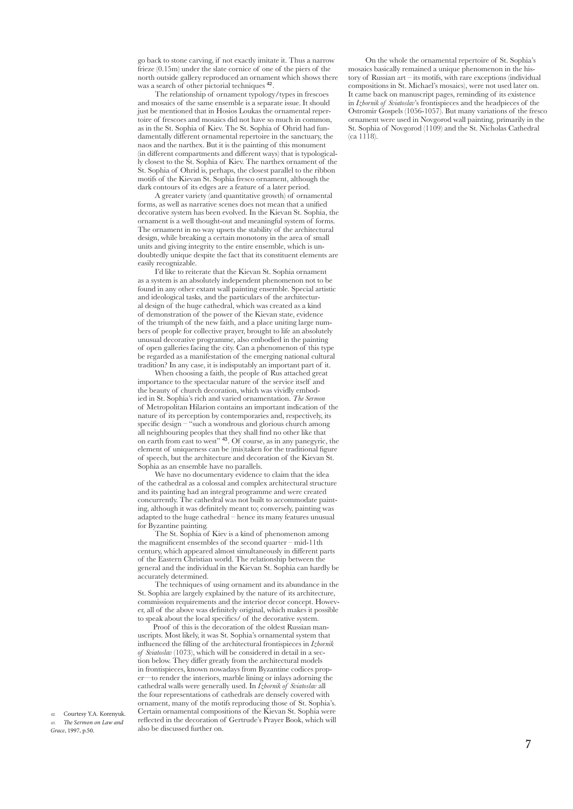go back to stone carving, if not exactly imitate it. Thus a narrow frieze (0.15m) under the slate cornice of one of the piers of the north outside gallery reproduced an ornament which shows there was a search of other pictorial techniques  $42$ .

 The relationship of ornament typology/types in frescoes and mosaics of the same ensemble is a separate issue. It should just be mentioned that in Hosios Loukas the ornamental repertoire of frescoes and mosaics did not have so much in common, as in the St. Sophia of Kiev. The St. Sophia of Ohrid had fundamentally different ornamental repertoire in the sanctuary, the naos and the narthex. But it is the painting of this monument (in different compartments and different ways) that is typologically closest to the St. Sophia of Kiev. The narthex ornament of the St. Sophia of Ohrid is, perhaps, the closest parallel to the ribbon motifs of the Kievan St. Sophia fresco ornament, although the dark contours of its edges are a feature of a later period.

 A greater variety (and quantitative growth) of ornamental forms, as well as narrative scenes does not mean that a unified decorative system has been evolved. In the Kievan St. Sophia, the ornament is a well thought-out and meaningful system of forms. The ornament in no way upsets the stability of the architectural design, while breaking a certain monotony in the area of small units and giving integrity to the entire ensemble, which is undoubtedly unique despite the fact that its constituent elements are easily recognizable.

 I'd like to reiterate that the Kievan St. Sophia ornament as a system is an absolutely independent phenomenon not to be found in any other extant wall painting ensemble. Special artistic and ideological tasks, and the particulars of the architectural design of the huge cathedral, which was created as a kind of demonstration of the power of the Kievan state, evidence of the triumph of the new faith, and a place uniting large numbers of people for collective prayer, brought to life an absolutely unusual decorative programme, also embodied in the painting of open galleries facing the city. Can a phenomenon of this type be regarded as a manifestation of the emerging national cultural tradition? In any case, it is indisputably an important part of it.

 When choosing a faith, the people of Rus attached great importance to the spectacular nature of the service itself and the beauty of church decoration, which was vividly embodied in St. Sophia's rich and varied ornamentation. *The Sermon* of Metropolitan Hilarion contains an important indication of the nature of its perception by contemporaries and, respectively, its specific design – "such a wondrous and glorious church among all neighbouring peoples that they shall find no other like that on earth from east to west" <sup>43</sup>. Of course, as in any panegyric, the element of uniqueness can be (mis)taken for the traditional figure of speech, but the architecture and decoration of the Kievan St. Sophia as an ensemble have no parallels.

 We have no documentary evidence to claim that the idea of the cathedral as a colossal and complex architectural structure and its painting had an integral programme and were created concurrently. The cathedral was not built to accommodate painting, although it was definitely meant to; conversely, painting was adapted to the huge cathedral – hence its many features unusual for Byzantine painting.

 The St. Sophia of Kiev is a kind of phenomenon among the magnificent ensembles of the second quarter – mid-11th century, which appeared almost simultaneously in different parts of the Eastern Christian world. The relationship between the general and the individual in the Kievan St. Sophia can hardly be accurately determined.

 The techniques of using ornament and its abundance in the St. Sophia are largely explained by the nature of its architecture, commission requirements and the interior decor concept. However, all of the above was definitely original, which makes it possible to speak about the local specifics/ of the decorative system.

Proof of this is the decoration of the oldest Russian manuscripts. Most likely, it was St. Sophia's ornamental system that influenced the filling of the architectural frontispieces in *Izbornik of Sviatoslav* (1073), which will be considered in detail in a section below. They differ greatly from the architectural models in frontispieces, known nowadays from Byzantine codices proper—to render the interiors, marble lining or inlays adorning the cathedral walls were generally used. In *Izbornik of Sviatoslav* all the four representations of cathedrals are densely covered with ornament, many of the motifs reproducing those of St. Sophia's. Certain ornamental compositions of the Kievan St. Sophia were reflected in the decoration of Gertrude's Prayer Book, which will also be discussed further on.

42. Courtesy Y.A. Korenyuk. 43. *The Sermon on Law and Grace*, 1997, p.50.

 On the whole the ornamental repertoire of St. Sophia's mosaics basically remained a unique phenomenon in the history of Russian art – its motifs, with rare exceptions (individual compositions in St. Michael's mosaics), were not used later on. It came back on manuscript pages, reminding of its existence in *Izbornik of Sviatoslav*'s frontispieces and the headpieces of the Ostromir Gospels (1056-1057). But many variations of the fresco ornament were used in Novgorod wall painting, primarily in the St. Sophia of Novgorod (1109) and the St. Nicholas Cathedral  $(ca 1118).$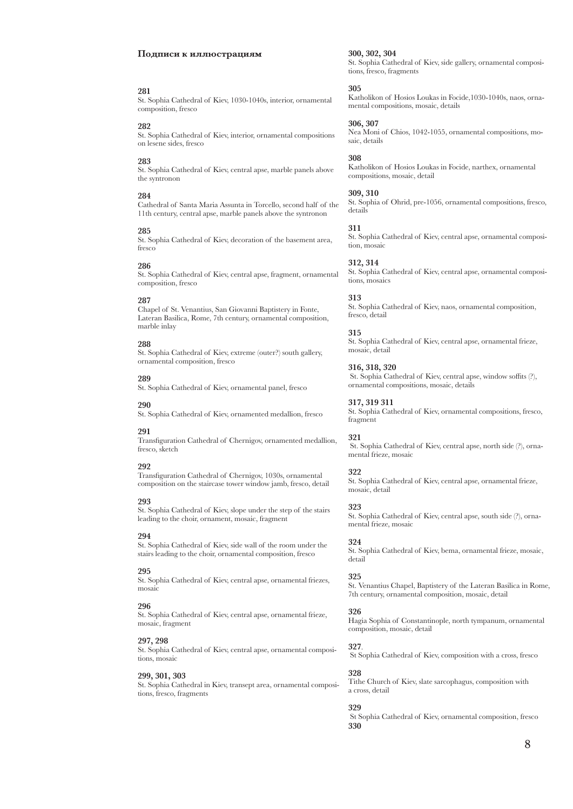#### **Подписи к иллюстрациям**

#### **281**

St. Sophia Cathedral of Kiev, 1030-1040s, interior, ornamental composition, fresco

#### **282**

St. Sophia Cathedral of Kiev, interior, ornamental compositions on lesene sides, fresco

### **283**

St. Sophia Cathedral of Kiev, central apse, marble panels above the syntronon

#### **284**

Cathedral of Santa Maria Assunta in Torcello, second half of the 11th century, central apse, marble panels above the syntronon

### **285**

St. Sophia Cathedral of Kiev, decoration of the basement area, fresco

#### **286**

St. Sophia Cathedral of Kiev, central apse, fragment, ornamental composition, fresco

#### **287**

Chapel of St. Venantius, San Giovanni Baptistery in Fonte, Lateran Basilica, Rome, 7th century, ornamental composition, marble inlay

### **288**

St. Sophia Cathedral of Kiev, extreme (outer?) south gallery, ornamental composition, fresco

### **289**

St. Sophia Cathedral of Kiev, ornamental panel, fresco

### **290**

St. Sophia Cathedral of Kiev, ornamented medallion, fresco

### **291**

Transfiguration Cathedral of Chernigov, ornamented medallion, fresco, sketch

### **292**

Transfiguration Cathedral of Chernigov, 1030s, ornamental composition on the staircase tower window jamb, fresco, detail

#### **293**

St. Sophia Cathedral of Kiev, slope under the step of the stairs leading to the choir, ornament, mosaic, fragment

#### **294**

St. Sophia Cathedral of Kiev, side wall of the room under the stairs leading to the choir, ornamental composition, fresco

#### **295**

St. Sophia Cathedral of Kiev, central apse, ornamental friezes, mosaic

### **296**

St. Sophia Cathedral of Kiev, central apse, ornamental frieze, mosaic, fragment

### **297, 298**

St. Sophia Cathedral of Kiev, central apse, ornamental compositions, mosaic

#### **299, 301, 303**

St. Sophia Cathedral in Kiev, transept area, ornamental compositions, fresco, fragments

#### **300, 302, 304**

St. Sophia Cathedral of Kiev, side gallery, ornamental compositions, fresco, fragments

### **305**

Katholikon of Hosios Loukas in Focide,1030-1040s, naos, ornamental compositions, mosaic, details

**306, 307** 

Nea Moni of Chios, 1042-1055, ornamental compositions, mosaic, details

### **308**

Katholikon of Hosios Loukas in Focide, narthex, ornamental compositions, mosaic, detail

### **309, 310**

St. Sophia of Ohrid, pre-1056, ornamental compositions, fresco, details

### **311**

St. Sophia Cathedral of Kiev, central apse, ornamental composition, mosaic

### **312, 314**

St. Sophia Cathedral of Kiev, central apse, ornamental compositions, mosaics

### **313**

St. Sophia Cathedral of Kiev, naos, ornamental composition, fresco, detail

### **315**

St. Sophia Cathedral of Kiev, central apse, ornamental frieze, mosaic, detail

**316, 318, 320**

 St. Sophia Cathedral of Kiev, central apse, window soffits (?), ornamental compositions, mosaic, details

## **317, 319 311**

St. Sophia Cathedral of Kiev, ornamental compositions, fresco, fragment

### **321**

 St. Sophia Cathedral of Kiev, central apse, north side (?), ornamental frieze, mosaic

### **322**

St. Sophia Cathedral of Kiev, central apse, ornamental frieze, mosaic, detail

### **323**

St. Sophia Cathedral of Kiev, central apse, south side (?), ornamental frieze, mosaic

### **324**

St. Sophia Cathedral of Kiev, bema, ornamental frieze, mosaic, detail

### **325**

St. Venantius Chapel, Baptistery of the Lateran Basilica in Rome, 7th century, ornamental composition, mosaic, detail

### **326**

Hagia Sophia of Constantinople, north tympanum, ornamental composition, mosaic, detail

### **327**.

St Sophia Cathedral of Kiev, composition with a cross, fresco

### **328**

Tithe Church of Kiev, slate sarcophagus, composition with a cross, detail

### **329**

 St Sophia Cathedral of Kiev, ornamental composition, fresco **330**